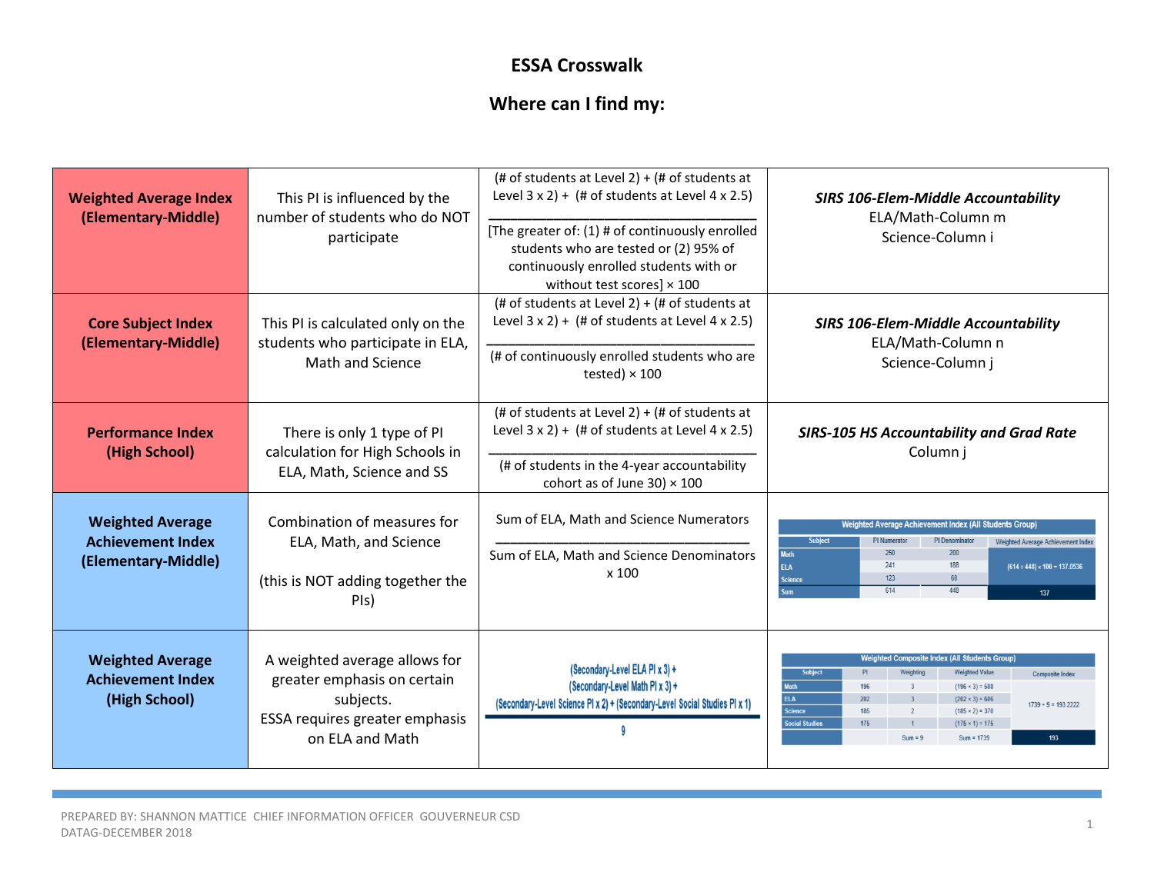## **ESSA Crosswalk**

## **Where can I find my:**

| <b>Weighted Average Index</b><br>(Elementary-Middle)                       | This PI is influenced by the<br>number of students who do NOT<br>participate                                                   | (# of students at Level 2) + (# of students at<br>Level $3 \times 2$ ) + (# of students at Level 4 x 2.5)<br>[The greater of: (1) # of continuously enrolled<br>students who are tested or (2) 95% of<br>continuously enrolled students with or<br>without test scores] $\times$ 100 | <b>SIRS 106-Elem-Middle Accountability</b><br>ELA/Math-Column m<br>Science-Column i                                                                                                                                                                                                                                                                                                                                                                 |  |
|----------------------------------------------------------------------------|--------------------------------------------------------------------------------------------------------------------------------|--------------------------------------------------------------------------------------------------------------------------------------------------------------------------------------------------------------------------------------------------------------------------------------|-----------------------------------------------------------------------------------------------------------------------------------------------------------------------------------------------------------------------------------------------------------------------------------------------------------------------------------------------------------------------------------------------------------------------------------------------------|--|
| <b>Core Subject Index</b><br>(Elementary-Middle)                           | This PI is calculated only on the<br>students who participate in ELA,<br>Math and Science                                      | (# of students at Level 2) + (# of students at<br>Level $3 \times 2$ ) + (# of students at Level 4 x 2.5)<br>(# of continuously enrolled students who are<br>tested) $\times$ 100                                                                                                    | <b>SIRS 106-Elem-Middle Accountability</b><br>ELA/Math-Column n<br>Science-Column j                                                                                                                                                                                                                                                                                                                                                                 |  |
| <b>Performance Index</b><br>(High School)                                  | There is only 1 type of PI<br>calculation for High Schools in<br>ELA, Math, Science and SS                                     | (# of students at Level 2) + (# of students at<br>Level $3 \times 2$ ) + (# of students at Level 4 x 2.5)<br>(# of students in the 4-year accountability<br>cohort as of June 30) $\times$ 100                                                                                       | <b>SIRS-105 HS Accountability and Grad Rate</b><br>Column j                                                                                                                                                                                                                                                                                                                                                                                         |  |
| <b>Weighted Average</b><br><b>Achievement Index</b><br>(Elementary-Middle) | Combination of measures for<br>ELA, Math, and Science<br>(this is NOT adding together the<br>PIs)                              | Sum of ELA, Math and Science Numerators<br>Sum of ELA, Math and Science Denominators<br>x 100                                                                                                                                                                                        | Weighted Average Achievement Index (All Students Group)<br><b>Subject</b><br>PI Denominato<br><b>PI</b> Numerato<br>Weighted Average Achievement Index<br>250<br>200<br><b>Math</b><br>241<br>188<br><b>ELA</b><br>$(614 \div 448) \times 100 = 137.0536$<br>123<br>60<br><b>Science</b><br>614<br>448<br><b>Sum</b><br>137                                                                                                                         |  |
| <b>Weighted Average</b><br><b>Achievement Index</b><br>(High School)       | A weighted average allows for<br>greater emphasis on certain<br>subjects.<br>ESSA requires greater emphasis<br>on ELA and Math | (Secondary-Level ELA PI x 3) +<br>(Secondary-Level Math PI x 3) +<br>(Secondary-Level Science PI x 2) + (Secondary-Level Social Studies PI x 1)                                                                                                                                      | <b>Weighted Composite Index (All Students Group)</b><br><b>Subject</b><br><b>Weighted Value</b><br>PI<br>Weighting<br><b>Composite Index</b><br>$(196 \times 3) = 588$<br><b>Math</b><br>196<br>$\overline{\mathbf{3}}$<br><b>ELA</b><br>$(202 \times 3) = 606$<br>202<br>$1739 \div 9 = 193.2222$<br><b>Science</b><br>$(185 \times 2) = 370$<br>185<br><b>Social Studies</b><br>175<br>$(175 \times 1) = 175$<br>$Sum = 1739$<br>$Sum = 9$<br>193 |  |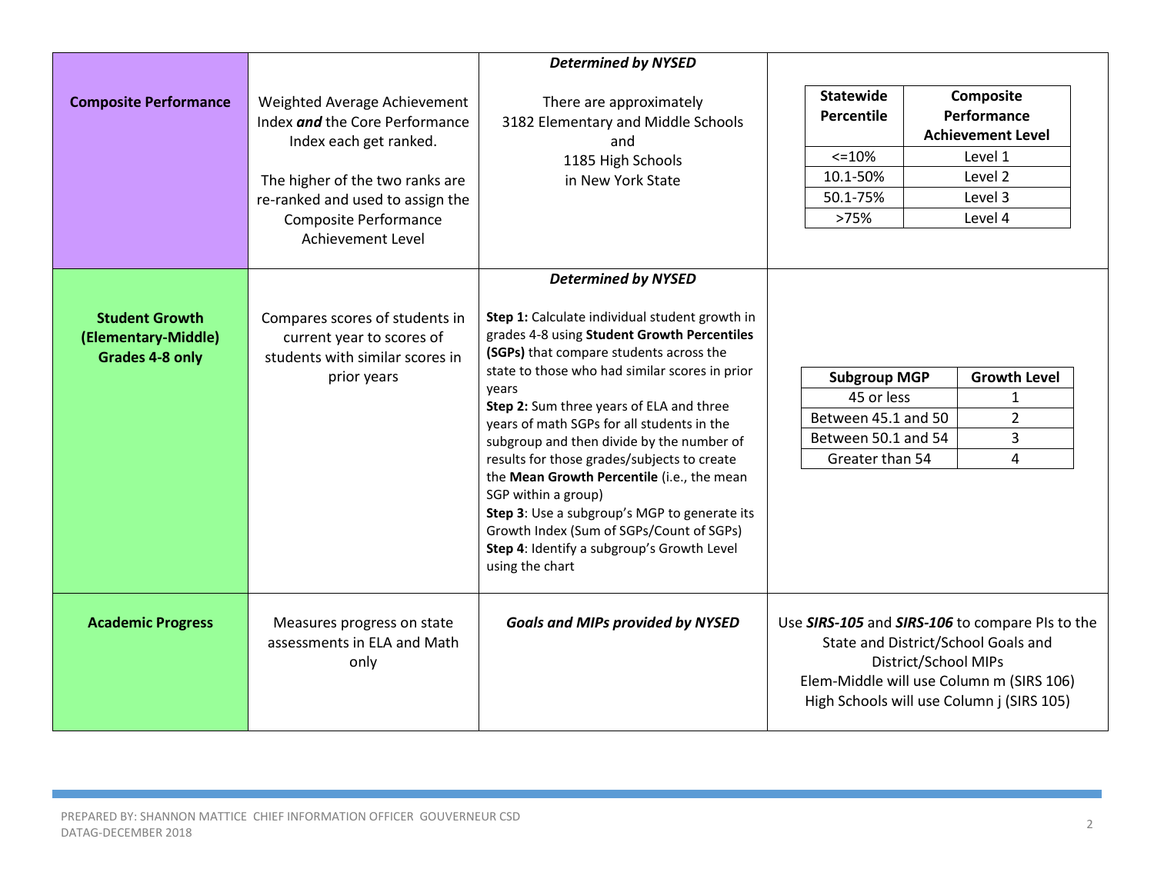|                                                                        |                                                                                                                                                                                                               | <b>Determined by NYSED</b>                                                                                                                                                                                                                                                                                                                                                                                                                                                                                                                                                                                                  |                                                                                                                                                                                                         |                                                                                                  |
|------------------------------------------------------------------------|---------------------------------------------------------------------------------------------------------------------------------------------------------------------------------------------------------------|-----------------------------------------------------------------------------------------------------------------------------------------------------------------------------------------------------------------------------------------------------------------------------------------------------------------------------------------------------------------------------------------------------------------------------------------------------------------------------------------------------------------------------------------------------------------------------------------------------------------------------|---------------------------------------------------------------------------------------------------------------------------------------------------------------------------------------------------------|--------------------------------------------------------------------------------------------------|
| <b>Composite Performance</b>                                           | Weighted Average Achievement<br>Index and the Core Performance<br>Index each get ranked.<br>The higher of the two ranks are<br>re-ranked and used to assign the<br>Composite Performance<br>Achievement Level | There are approximately<br>3182 Elementary and Middle Schools<br>and<br>1185 High Schools<br>in New York State                                                                                                                                                                                                                                                                                                                                                                                                                                                                                                              | <b>Statewide</b><br>Percentile<br>$< = 10%$<br>10.1-50%<br>50.1-75%<br>>75%                                                                                                                             | Composite<br>Performance<br><b>Achievement Level</b><br>Level 1<br>Level 2<br>Level 3<br>Level 4 |
|                                                                        |                                                                                                                                                                                                               | <b>Determined by NYSED</b>                                                                                                                                                                                                                                                                                                                                                                                                                                                                                                                                                                                                  |                                                                                                                                                                                                         |                                                                                                  |
| <b>Student Growth</b><br>(Elementary-Middle)<br><b>Grades 4-8 only</b> | Compares scores of students in<br>current year to scores of<br>students with similar scores in<br>prior years                                                                                                 | Step 1: Calculate individual student growth in<br>grades 4-8 using Student Growth Percentiles<br>(SGPs) that compare students across the<br>state to those who had similar scores in prior<br>vears<br>Step 2: Sum three years of ELA and three<br>years of math SGPs for all students in the<br>subgroup and then divide by the number of<br>results for those grades/subjects to create<br>the Mean Growth Percentile (i.e., the mean<br>SGP within a group)<br>Step 3: Use a subgroup's MGP to generate its<br>Growth Index (Sum of SGPs/Count of SGPs)<br>Step 4: Identify a subgroup's Growth Level<br>using the chart | <b>Subgroup MGP</b><br>45 or less<br>Between 45.1 and 50<br>Between 50.1 and 54<br>Greater than 54                                                                                                      | <b>Growth Level</b><br>1<br>$\overline{2}$<br>3<br>4                                             |
| <b>Academic Progress</b>                                               | Measures progress on state<br>assessments in ELA and Math<br>only                                                                                                                                             | <b>Goals and MIPs provided by NYSED</b>                                                                                                                                                                                                                                                                                                                                                                                                                                                                                                                                                                                     | Use SIRS-105 and SIRS-106 to compare PIs to the<br>State and District/School Goals and<br>District/School MIPs<br>Elem-Middle will use Column m (SIRS 106)<br>High Schools will use Column j (SIRS 105) |                                                                                                  |